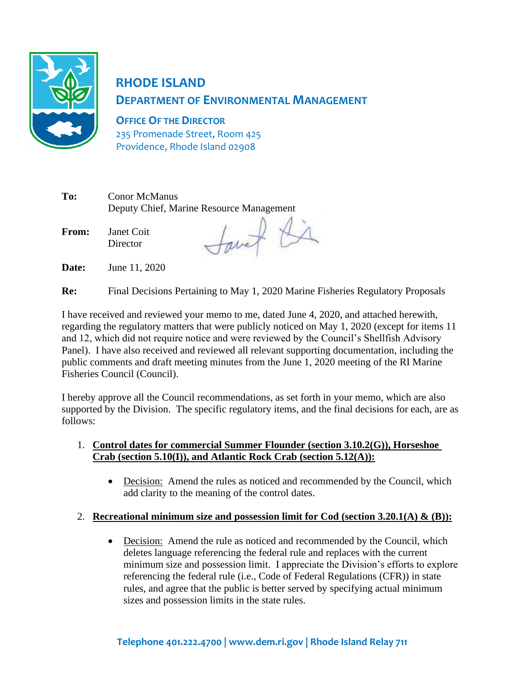

# **RHODE ISLAND DEPARTMENT OF ENVIRONMENTAL MANAGEMENT**

**OFFICE OF THE DIRECTOR** 235 Promenade Street, Room 425 Providence, Rhode Island 02908

| To:   | <b>Conor McManus</b>   | Deputy Chief, Marine Resource Management |  |
|-------|------------------------|------------------------------------------|--|
| From: | Janet Coit<br>Director |                                          |  |

**Date:** June 11, 2020

**Re:** Final Decisions Pertaining to May 1, 2020 Marine Fisheries Regulatory Proposals

I have received and reviewed your memo to me, dated June 4, 2020, and attached herewith, regarding the regulatory matters that were publicly noticed on May 1, 2020 (except for items 11 and 12, which did not require notice and were reviewed by the Council's Shellfish Advisory Panel). I have also received and reviewed all relevant supporting documentation, including the public comments and draft meeting minutes from the June 1, 2020 meeting of the RI Marine Fisheries Council (Council).

I hereby approve all the Council recommendations, as set forth in your memo, which are also supported by the Division. The specific regulatory items, and the final decisions for each, are as follows:

#### 1. **Control dates for commercial Summer Flounder (section 3.10.2(G)), Horseshoe Crab (section 5.10(I)), and Atlantic Rock Crab (section 5.12(A)):**

• Decision: Amend the rules as noticed and recommended by the Council, which add clarity to the meaning of the control dates.

# 2. **Recreational minimum size and possession limit for Cod (section 3.20.1(A) & (B)):**

• Decision: Amend the rule as noticed and recommended by the Council, which deletes language referencing the federal rule and replaces with the current minimum size and possession limit. I appreciate the Division's efforts to explore referencing the federal rule (i.e., Code of Federal Regulations (CFR)) in state rules, and agree that the public is better served by specifying actual minimum sizes and possession limits in the state rules.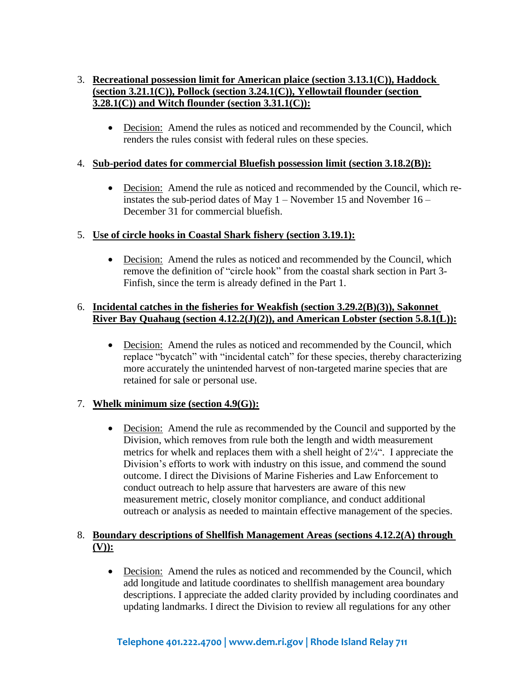# 3. **Recreational possession limit for American plaice (section 3.13.1(C)), Haddock (section 3.21.1(C)), Pollock (section 3.24.1(C)), Yellowtail flounder (section 3.28.1(C)) and Witch flounder (section 3.31.1(C)):**

• Decision: Amend the rules as noticed and recommended by the Council, which renders the rules consist with federal rules on these species.

# 4. **Sub-period dates for commercial Bluefish possession limit (section 3.18.2(B)):**

• Decision: Amend the rule as noticed and recommended by the Council, which reinstates the sub-period dates of May 1 – November 15 and November 16 – December 31 for commercial bluefish.

# 5. **Use of circle hooks in Coastal Shark fishery (section 3.19.1):**

• Decision: Amend the rules as noticed and recommended by the Council, which remove the definition of "circle hook" from the coastal shark section in Part 3- Finfish, since the term is already defined in the Part 1.

#### 6. **Incidental catches in the fisheries for Weakfish (section 3.29.2(B)(3)), Sakonnet River Bay Quahaug (section 4.12.2(J)(2)), and American Lobster (section 5.8.1(L)):**

• Decision: Amend the rules as noticed and recommended by the Council, which replace "bycatch" with "incidental catch" for these species, thereby characterizing more accurately the unintended harvest of non-targeted marine species that are retained for sale or personal use.

#### 7. **Whelk minimum size (section 4.9(G)):**

• Decision: Amend the rule as recommended by the Council and supported by the Division, which removes from rule both the length and width measurement metrics for whelk and replaces them with a shell height of 2¼". I appreciate the Division's efforts to work with industry on this issue, and commend the sound outcome. I direct the Divisions of Marine Fisheries and Law Enforcement to conduct outreach to help assure that harvesters are aware of this new measurement metric, closely monitor compliance, and conduct additional outreach or analysis as needed to maintain effective management of the species.

# 8. **Boundary descriptions of Shellfish Management Areas (sections 4.12.2(A) through (V)):**

• Decision: Amend the rules as noticed and recommended by the Council, which add longitude and latitude coordinates to shellfish management area boundary descriptions. I appreciate the added clarity provided by including coordinates and updating landmarks. I direct the Division to review all regulations for any other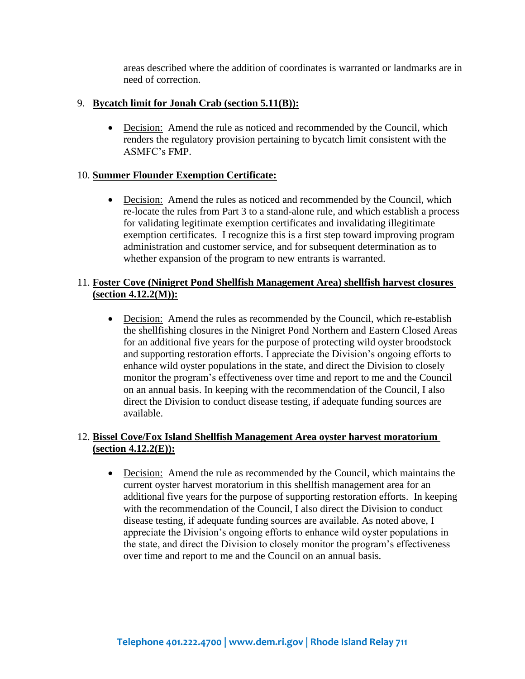areas described where the addition of coordinates is warranted or landmarks are in need of correction.

#### 9. **Bycatch limit for Jonah Crab (section 5.11(B)):**

• Decision: Amend the rule as noticed and recommended by the Council, which renders the regulatory provision pertaining to bycatch limit consistent with the ASMFC's FMP.

#### 10. **Summer Flounder Exemption Certificate:**

• Decision: Amend the rules as noticed and recommended by the Council, which re-locate the rules from Part 3 to a stand-alone rule, and which establish a process for validating legitimate exemption certificates and invalidating illegitimate exemption certificates. I recognize this is a first step toward improving program administration and customer service, and for subsequent determination as to whether expansion of the program to new entrants is warranted.

# 11. **Foster Cove (Ninigret Pond Shellfish Management Area) shellfish harvest closures (section 4.12.2(M)):**

• Decision: Amend the rules as recommended by the Council, which re-establish the shellfishing closures in the Ninigret Pond Northern and Eastern Closed Areas for an additional five years for the purpose of protecting wild oyster broodstock and supporting restoration efforts. I appreciate the Division's ongoing efforts to enhance wild oyster populations in the state, and direct the Division to closely monitor the program's effectiveness over time and report to me and the Council on an annual basis. In keeping with the recommendation of the Council, I also direct the Division to conduct disease testing, if adequate funding sources are available.

#### 12. **Bissel Cove/Fox Island Shellfish Management Area oyster harvest moratorium (section 4.12.2(E)):**

• Decision: Amend the rule as recommended by the Council, which maintains the current oyster harvest moratorium in this shellfish management area for an additional five years for the purpose of supporting restoration efforts. In keeping with the recommendation of the Council. I also direct the Division to conduct disease testing, if adequate funding sources are available. As noted above, I appreciate the Division's ongoing efforts to enhance wild oyster populations in the state, and direct the Division to closely monitor the program's effectiveness over time and report to me and the Council on an annual basis.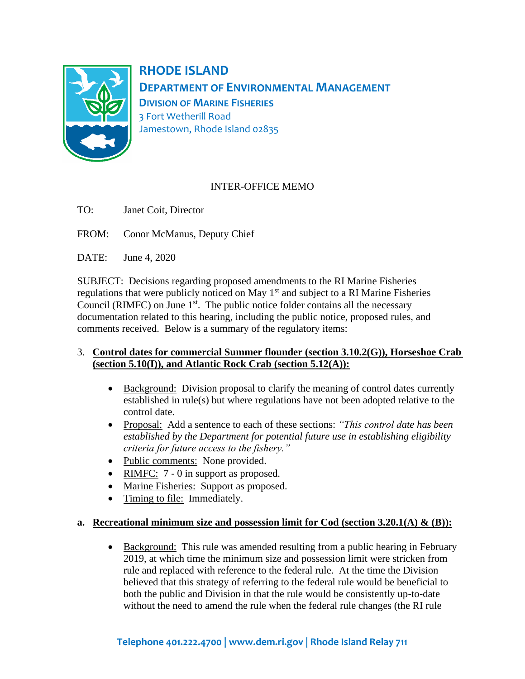

**RHODE ISLAND DEPARTMENT OF ENVIRONMENTAL MANAGEMENT DIVISION OF MARINE FISHERIES** 3 Fort Wetherill Road Jamestown, Rhode Island 02835

# INTER-OFFICE MEMO

- TO: Janet Coit, Director
- FROM: Conor McManus, Deputy Chief

DATE: June 4, 2020

SUBJECT: Decisions regarding proposed amendments to the RI Marine Fisheries regulations that were publicly noticed on May  $1<sup>st</sup>$  and subject to a RI Marine Fisheries Council (RIMFC) on June  $1<sup>st</sup>$ . The public notice folder contains all the necessary documentation related to this hearing, including the public notice, proposed rules, and comments received. Below is a summary of the regulatory items:

#### 3. **Control dates for commercial Summer flounder (section 3.10.2(G)), Horseshoe Crab (section 5.10(I)), and Atlantic Rock Crab (section 5.12(A)):**

- Background: Division proposal to clarify the meaning of control dates currently established in rule(s) but where regulations have not been adopted relative to the control date.
- Proposal: Add a sentence to each of these sections: *"This control date has been established by the Department for potential future use in establishing eligibility criteria for future access to the fishery."*
- Public comments: None provided.
- RIMFC: 7 0 in support as proposed.
- Marine Fisheries: Support as proposed.
- Timing to file: Immediately.

#### **a. Recreational minimum size and possession limit for Cod (section 3.20.1(A) & (B)):**

• Background: This rule was amended resulting from a public hearing in February 2019, at which time the minimum size and possession limit were stricken from rule and replaced with reference to the federal rule. At the time the Division believed that this strategy of referring to the federal rule would be beneficial to both the public and Division in that the rule would be consistently up-to-date without the need to amend the rule when the federal rule changes (the RI rule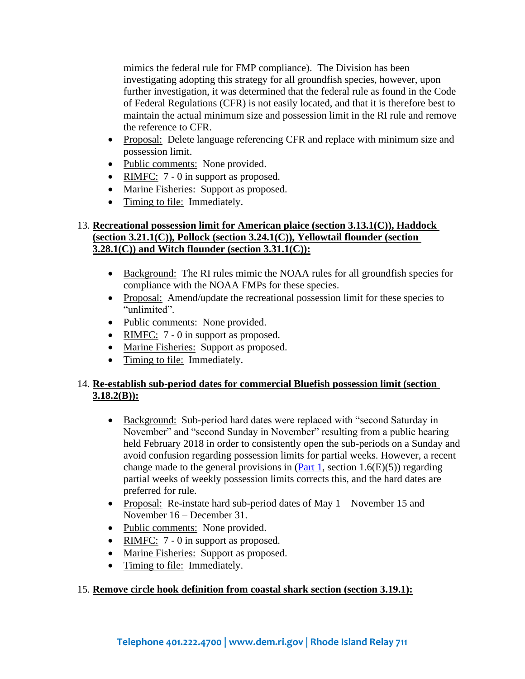mimics the federal rule for FMP compliance). The Division has been investigating adopting this strategy for all groundfish species, however, upon further investigation, it was determined that the federal rule as found in the Code of Federal Regulations (CFR) is not easily located, and that it is therefore best to maintain the actual minimum size and possession limit in the RI rule and remove the reference to CFR.

- Proposal: Delete language referencing CFR and replace with minimum size and possession limit.
- Public comments: None provided.
- RIMFC:  $7 0$  in support as proposed.
- Marine Fisheries: Support as proposed.
- Timing to file: Immediately.

# 13. **Recreational possession limit for American plaice (section 3.13.1(C)), Haddock (section 3.21.1(C)), Pollock (section 3.24.1(C)), Yellowtail flounder (section 3.28.1(C)) and Witch flounder (section 3.31.1(C)):**

- Background: The RI rules mimic the NOAA rules for all groundfish species for compliance with the NOAA FMPs for these species.
- Proposal: Amend/update the recreational possession limit for these species to "unlimited".
- Public comments: None provided.
- RIMFC: 7 0 in support as proposed.
- Marine Fisheries: Support as proposed.
- Timing to file: Immediately.

# 14. **Re-establish sub-period dates for commercial Bluefish possession limit (section 3.18.2(B)):**

- Background: Sub-period hard dates were replaced with "second Saturday in November" and "second Sunday in November" resulting from a public hearing held February 2018 in order to consistently open the sub-periods on a Sunday and avoid confusion regarding possession limits for partial weeks. However, a recent change made to the general provisions in  $(Part 1, section 1.6(E)(5))$  $(Part 1, section 1.6(E)(5))$  regarding partial weeks of weekly possession limits corrects this, and the hard dates are preferred for rule.
- Proposal: Re-instate hard sub-period dates of May 1 November 15 and November 16 – December 31.
- Public comments: None provided.
- RIMFC: 7 0 in support as proposed.
- Marine Fisheries: Support as proposed.
- Timing to file: Immediately.

# 15. **Remove circle hook definition from coastal shark section (section 3.19.1):**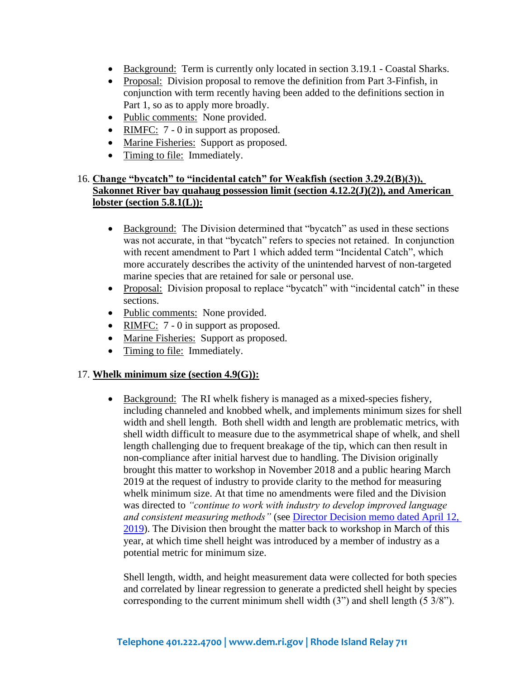- Background: Term is currently only located in section 3.19.1 Coastal Sharks.
- Proposal: Division proposal to remove the definition from Part 3-Finfish, in conjunction with term recently having been added to the definitions section in Part 1, so as to apply more broadly.
- Public comments: None provided.
- RIMFC: 7 0 in support as proposed.
- Marine Fisheries: Support as proposed.
- Timing to file: Immediately.

# 16. **Change "bycatch" to "incidental catch" for Weakfish (section 3.29.2(B)(3)), Sakonnet River bay quahaug possession limit (section 4.12.2(J)(2)), and American lobster (section 5.8.1(L)):**

- Background: The Division determined that "bycatch" as used in these sections was not accurate, in that "bycatch" refers to species not retained. In conjunction with recent amendment to Part 1 which added term "Incidental Catch", which more accurately describes the activity of the unintended harvest of non-targeted marine species that are retained for sale or personal use.
- Proposal: Division proposal to replace "bycatch" with "incidental catch" in these sections.
- Public comments: None provided.
- RIMFC: 7 0 in support as proposed.
- Marine Fisheries: Support as proposed.
- Timing to file: Immediately.

#### 17. **Whelk minimum size (section 4.9(G)):**

• Background: The RI whelk fishery is managed as a mixed-species fishery, including channeled and knobbed whelk, and implements minimum sizes for shell width and shell length. Both shell width and length are problematic metrics, with shell width difficult to measure due to the asymmetrical shape of whelk, and shell length challenging due to frequent breakage of the tip, which can then result in non-compliance after initial harvest due to handling. The Division originally brought this matter to workshop in November 2018 and a public hearing March 2019 at the request of industry to provide clarity to the method for measuring whelk minimum size. At that time no amendments were filed and the Division was directed to *"continue to work with industry to develop improved language and consistent measuring methods"* (see [Director Decision memo dated April 12,](about:blank)  [2019\)](about:blank). The Division then brought the matter back to workshop in March of this year, at which time shell height was introduced by a member of industry as a potential metric for minimum size.

Shell length, width, and height measurement data were collected for both species and correlated by linear regression to generate a predicted shell height by species corresponding to the current minimum shell width (3") and shell length (5 3/8").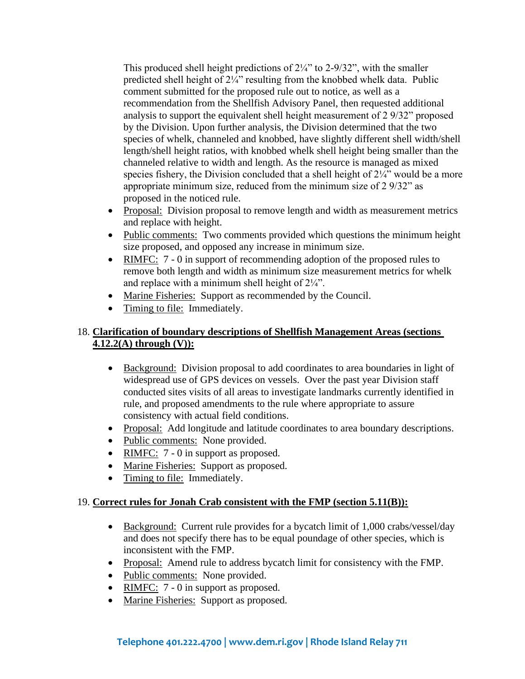This produced shell height predictions of  $2\frac{1}{4}$ " to 2-9/32", with the smaller predicted shell height of 2¼" resulting from the knobbed whelk data. Public comment submitted for the proposed rule out to notice, as well as a recommendation from the Shellfish Advisory Panel, then requested additional analysis to support the equivalent shell height measurement of 2 9/32" proposed by the Division. Upon further analysis, the Division determined that the two species of whelk, channeled and knobbed, have slightly different shell width/shell length/shell height ratios, with knobbed whelk shell height being smaller than the channeled relative to width and length. As the resource is managed as mixed species fishery, the Division concluded that a shell height of  $2\frac{1}{4}$ " would be a more appropriate minimum size, reduced from the minimum size of 2 9/32" as proposed in the noticed rule.

- Proposal: Division proposal to remove length and width as measurement metrics and replace with height.
- Public comments: Two comments provided which questions the minimum height size proposed, and opposed any increase in minimum size.
- RIMFC: 7 0 in support of recommending adoption of the proposed rules to remove both length and width as minimum size measurement metrics for whelk and replace with a minimum shell height of 2¼".
- Marine Fisheries: Support as recommended by the Council.
- Timing to file: Immediately.

# 18. **Clarification of boundary descriptions of Shellfish Management Areas (sections 4.12.2(A) through (V)):**

- Background: Division proposal to add coordinates to area boundaries in light of widespread use of GPS devices on vessels. Over the past year Division staff conducted sites visits of all areas to investigate landmarks currently identified in rule, and proposed amendments to the rule where appropriate to assure consistency with actual field conditions.
- Proposal: Add longitude and latitude coordinates to area boundary descriptions.
- Public comments: None provided.
- RIMFC: 7 0 in support as proposed.
- Marine Fisheries: Support as proposed.
- Timing to file: Immediately.

# 19. **Correct rules for Jonah Crab consistent with the FMP (section 5.11(B)):**

- Background: Current rule provides for a bycatch limit of 1,000 crabs/vessel/day and does not specify there has to be equal poundage of other species, which is inconsistent with the FMP.
- Proposal: Amend rule to address bycatch limit for consistency with the FMP.
- Public comments: None provided.
- RIMFC: 7 0 in support as proposed.
- Marine Fisheries: Support as proposed.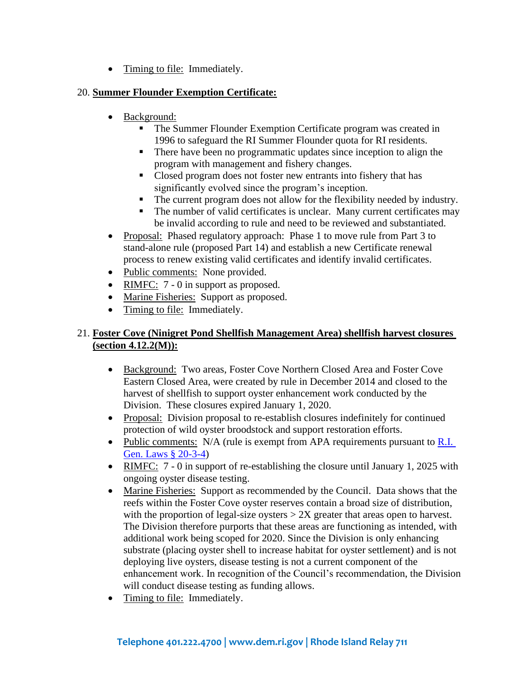• Timing to file: Immediately.

# 20. **Summer Flounder Exemption Certificate:**

- Background:
	- The Summer Flounder Exemption Certificate program was created in 1996 to safeguard the RI Summer Flounder quota for RI residents.
	- There have been no programmatic updates since inception to align the program with management and fishery changes.
	- Closed program does not foster new entrants into fishery that has significantly evolved since the program's inception.
	- The current program does not allow for the flexibility needed by industry.
	- The number of valid certificates is unclear. Many current certificates may be invalid according to rule and need to be reviewed and substantiated.
- Proposal: Phased regulatory approach: Phase 1 to move rule from Part 3 to stand-alone rule (proposed Part 14) and establish a new Certificate renewal process to renew existing valid certificates and identify invalid certificates.
- Public comments: None provided.
- RIMFC: 7 0 in support as proposed.
- Marine Fisheries: Support as proposed.
- Timing to file: Immediately.

# 21. **Foster Cove (Ninigret Pond Shellfish Management Area) shellfish harvest closures (section 4.12.2(M)):**

- Background: Two areas, Foster Cove Northern Closed Area and Foster Cove Eastern Closed Area, were created by rule in December 2014 and closed to the harvest of shellfish to support oyster enhancement work conducted by the Division. These closures expired January 1, 2020.
- Proposal: Division proposal to re-establish closures indefinitely for continued protection of wild oyster broodstock and support restoration efforts.
- Public comments:  $N/A$  (rule is exempt from APA requirements pursuant to R.I. [Gen. Laws § 20-3-4\)](about:blank)
- RIMFC: 7 0 in support of re-establishing the closure until January 1, 2025 with ongoing oyster disease testing.
- Marine Fisheries: Support as recommended by the Council. Data shows that the reefs within the Foster Cove oyster reserves contain a broad size of distribution, with the proportion of legal-size oysters  $> 2X$  greater that areas open to harvest. The Division therefore purports that these areas are functioning as intended, with additional work being scoped for 2020. Since the Division is only enhancing substrate (placing oyster shell to increase habitat for oyster settlement) and is not deploying live oysters, disease testing is not a current component of the enhancement work. In recognition of the Council's recommendation, the Division will conduct disease testing as funding allows.
- Timing to file: Immediately.